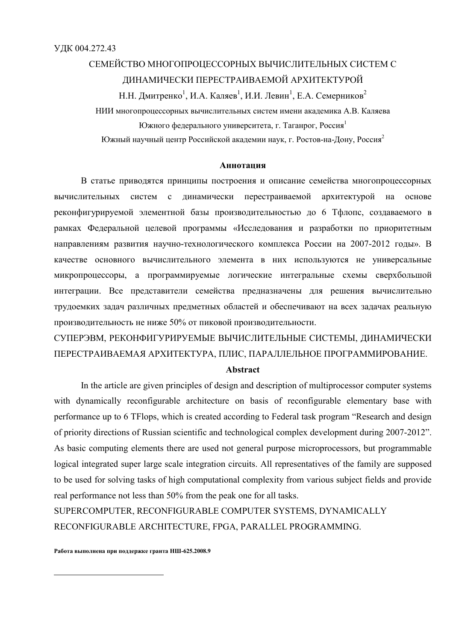# СЕМЕЙСТВО МНОГОПРОЦЕССОРНЫХ ВЫЧИСЛИТЕЛЬНЫХ СИСТЕМ С ДИНАМИЧЕСКИ ПЕРЕСТРАИВАЕМОЙ АРХИТЕКТУРОЙ

Н.Н. Дмитренко<sup>1</sup>, И.А. Каляев<sup>1</sup>, И.И. Левин<sup>1</sup>, Е.А. Семерников<sup>2</sup> НИИ многопроцессорных вычислительных систем имени академика А.В. Каляева Южного федерального университета, г. Таганрог, Россия<sup>1</sup> Южный научный центр Российской академии наук, г. Ростов-на-Дону, Россия<sup>2</sup>

## **Аннотация**

В статье приводятся принципы построения и описание семейства многопроцессорных вычислительных систем с динамически перестраиваемой архитектурой на основе реконфигурируемой элементной базы производительностью до 6 Тфлопс, создаваемого в рамках Федеральной целевой программы «Исследования и разработки по приоритетным направлениям развития научно-технологического комплекса России на 2007-2012 годы». В качестве основного вычислительного элемента в них используются не универсальные микропроцессоры, а программируемые логические интегральные схемы сверхбольшой интеграции. Все представители семейства предназначены для решения вычислительно трудоемких задач различных предметных областей и обеспечивают на всех задачах реальную производительность не ниже 50% от пиковой производительности.

СУПЕРЭВМ, РЕКОНФИГУРИРУЕМЫЕ ВЫЧИСЛИТЕЛЬНЫЕ СИСТЕМЫ, ДИНАМИЧЕСКИ ПЕРЕСТРАИВАЕМАЯ АРХИТЕКТУРА, ПЛИС, ПАРАЛЛЕЛЬНОЕ ПРОГРАММИРОВАНИЕ.

## **Abstract**

In the article are given principles of design and description of multiprocessor computer systems with dynamically reconfigurable architecture on basis of reconfigurable elementary base with performance up to 6 Flops, which is created according to Federal task program "Research and design of priority directions of Russian scientific and technological complex development during 2007-2012". As basic computing elements there are used not general purpose microprocessors, but programmable logical integrated super large scale integration circuits. All representatives of the family are supposed to be used for solving tasks of high computational complexity from various subject fields and provide real performance not less than 50% from the peak one for all tasks.

SUPERCOMPUTER, RECONFIGURABLE COMPUTER SYSTEMS, DYNAMICALLY RECONFIGURABLE ARCHITECTURE, FPGA, PARALLEL PROGRAMMING.

Работа выполнена при поддержке гранта НШ-625.2008.9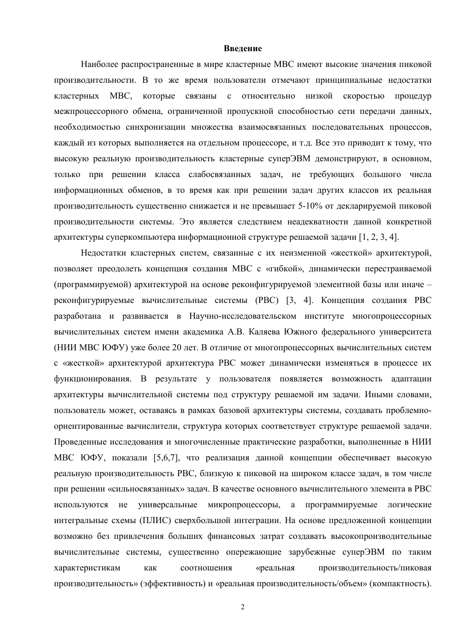#### Ввеление

Наиболее распространенные в мире кластерные МВС имеют высокие значения пиковой производительности. В то же время пользователи отмечают принципиальные недостатки кластерных МВС, которые связаны с относительно низкой скоростью процедур межпроцессорного обмена, ограниченной пропускной способностью сети передачи данных, необходимостью синхронизации множества взаимосвязанных последовательных процессов, каждый из которых выполняется на отдельном процессоре, и т.д. Все это приводит к тому, что высокую реальную производительность кластерные суперЭВМ демонстрируют, в основном, только при решении класса слабосвязанных задач, не требующих большого числа информационных обменов, в то время как при решении задач других классов их реальная производительность существенно снижается и не превышает 5-10% от декларируемой пиковой производительности системы. Это является следствием неадекватности данной конкретной архитектуры суперкомпьютера информационной структуре решаемой залачи [1, 2, 3, 4].

Недостатки кластерных систем, связанные с их неизменной «жесткой» архитектурой, позволяет преодолеть концепция создания MBC с «гибкой», динамически перестраиваемой (программируемой) архитектурой на основе реконфигурируемой элементной базы или иначе реконфигурируемые вычислительные системы (РВС) [3, 4]. Концепция создания РВС разработана и развивается в Научно-исследовательском институте многопроцессорных вычислительных систем имени академика А.В. Каляева Южного федерального университета (НИИ МВС ЮФУ) уже более 20 лет. В отличие от многопроцессорных вычислительных систем с «жесткой» архитектурой архитектура РВС может динамически изменяться в процессе их функционирования. В результате у пользователя появляется возможность адаптации архитектуры вычислительной системы под структуру решаемой им задачи. Иными словами, пользователь может, оставаясь в рамках базовой архитектуры системы, создавать проблемноориентированные вычислители, структура которых соответствует структуре решаемой задачи. Проведенные исследования и многочисленные практические разработки, выполненные в НИИ МВС ЮФУ, показали [5,6,7], что реализация данной концепции обеспечивает высокую реальную производительность РВС, близкую к пиковой на широком классе задач, в том числе при решении «сильносвязанных» задач. В качестве основного вычислительного элемента в РВС используются не универсальные микропроцессоры, а программируемые логические интегральные схемы (ПЛИС) сверхбольшой интеграции. На основе предложенной концепции возможно без привлечения больших финансовых затрат создавать высокопроизводительные вычислительные системы, существенно опережающие зарубежные суперЭВМ по таким характеристикам соотношения «реальная производительность/пиковая как производительность» (эффективность) и «реальная производительность/объем» (компактность).

 $\overline{2}$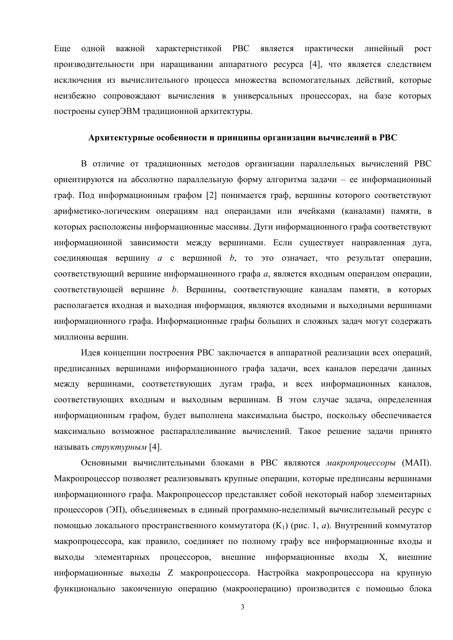Еще одной важной характеристикой РВС является практически линейный рост производительности при наращивании аппаратного ресурса [4], что является следствием исключения из вычислительного процесса множества вспомогательных лействий, которые неизбежно сопровождают вычисления в универсальных процессорах, на базе которых построены суперЭВМ традиционной архитектуры.

# Архитектурные особенности и принципы организации вычислений в РВС

В отличие от традиционных методов организации параллельных вычислений РВС ориентируются на абсолютно параллельную форму алгоритма задачи - ее информационный граф. Под информационным графом [2] понимается граф, вершины которого соответствуют арифметико-логическим операциям над операндами или ячейками (каналами) памяти, в которых расположены информационные массивы. Дуги информационного графа соответствуют информационной зависимости между вершинами. Если существует направленная дуга, соединяющая вершину *а* с вершиной *b*, то это означает, что результат операции, соответствующий вершине информационного графа а, является входным операндом операции, соответствующей вершине b. Вершины, соответствующие каналам памяти, в которых располагается входная и выходная информация, являются входными и выходными вершинами информационного графа. Информационные графы больших и сложных задач могут содержать миллионы вершин.

Идея концепции построения РВС заключается в аппаратной реализации всех операций, предписанных вершинами информационного графа задачи, всех каналов передачи данных между вершинами, соответствующих дугам графа, и всех информационных каналов, соответствующих входным и выходным вершинам. В этом случае задача, определенная информационным графом, будет выполнена максимальна быстро, поскольку обеспечивается максимально возможное распараллеливание вычислений. Такое решение задачи принято называть структурным [4].

Основными вычислительными блоками в РВС являются макропроиессоры (МАП). Макропроцессор позволяет реализовывать крупные операции, которые предписаны вершинами информационного графа. Макропроцессор представляет собой некоторый набор элементарных процессоров (ЭП), объединяемых в единый программно-неделимый вычислительный ресурс с помощью локального пространственного коммутатора (К<sub>1</sub>) (рис. 1, *а*). Внутренний коммутатор макропроцессора, как правило, соединяет по полному графу все информационные входы и выходы элементарных процессоров, внешние информационные входы Х, внешние информационные выходы Z макропроцессора. Настройка макропроцессора на крупную функционально законченную операцию (макрооперацию) производится с помощью блока

 $\overline{3}$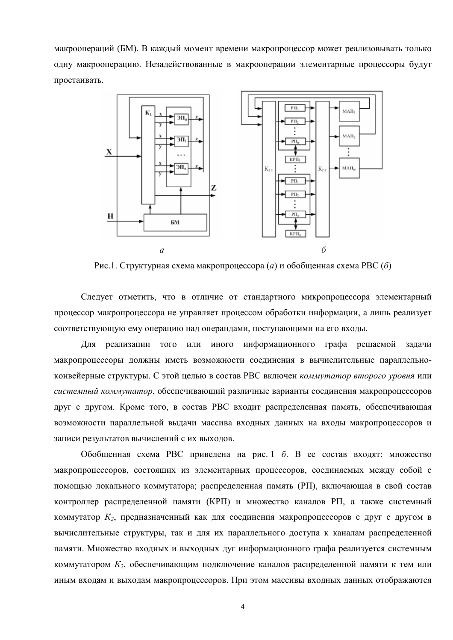макроопераций (БМ). В каждый момент времени макропроцессор может реализовывать только одну макрооперацию. Незадействованные в макрооперации элементарные процессоры будут простаивать.



Рис.1. Структурная схема макропроцессора (а) и обобщенная схема РВС (б)

Следует отметить, что в отличие от стандартного микропроцессора элементарный процессор макропроцессора не управляет процессом обработки информации, а лишь реализует соответствующую ему операцию над операндами, поступающими на его входы.

Для реализации того или иного информационного графа решаемой задачи макропроцессоры должны иметь возможности соединения в вычислительные параллельноконвейерные структуры. С этой целью в состав РВС включен *коммутатор второго уровня* или системный коммутатор, обеспечивающий различные варианты соединения макропроцессоров друг с другом. Кроме того, в состав РВС входит распределенная память, обеспечивающая возможности параллельной выдачи массива входных данных на входы макропроцессоров и записи результатов вычислений с их выходов.

Обобщенная схема РВС приведена на рис. 1 б. В ее состав входят: множество макропроцессоров, состоящих из элементарных процессоров, соединяемых между собой с помощью локального коммутатора; распределенная память (РП), включающая в свой состав контроллер распределенной памяти (КРП) и множество каналов РП, а также системный коммутатор  $K_2$ , предназначенный как для соединения макропроцессоров с друг с другом в вычислительные структуры, так и для их параллельного доступа к каналам распределенной памяти. Множество входных и выходных дуг информационного графа реализуется системным коммутатором  $K_2$ , обеспечивающим подключение каналов распределенной памяти к тем или иным входам и выходам макропроцессоров. При этом массивы входных данных отображаются

 $\overline{4}$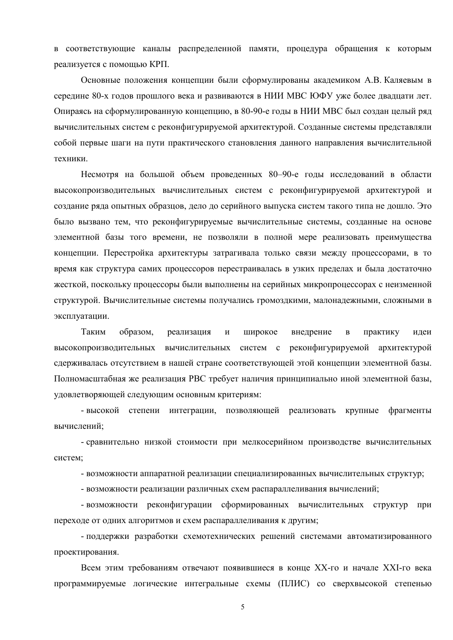в соответствующие каналы распределенной памяти, процедура обращения к которым реализуется с помощью КРП.

Основные положения концепции были сформулированы академиком А.В. Каляевым в середине 80-х годов прошлого века и развиваются в НИИ МВС ЮФУ уже более двадцати лет. Опираясь на сформулированную концепцию, в 80-90-е годы в НИИ МВС был создан целый ряд вычислительных систем с реконфигурируемой архитектурой. Созданные системы представляли собой первые шаги на пути практического становления данного направления вычислительной техники

Несмотря на большой объем проведенных 80-90-е годы исследований в области высокопроизводительных вычислительных систем с реконфигурируемой архитектурой и создание ряда опытных образцов, дело до серийного выпуска систем такого типа не дошло. Это было вызвано тем, что реконфигурируемые вычислительные системы, созданные на основе элементной базы того времени, не позволяли в полной мере реализовать преимущества концепции. Перестройка архитектуры затрагивала только связи между процессорами, в то время как структура самих процессоров перестраивалась в узких пределах и была достаточно жесткой, поскольку процессоры были выполнены на серийных микропроцессорах с неизменной структурой. Вычислительные системы получались громоздкими, малонадежными, сложными в эксплуатации.

Таким образом. реализация  $\mathbf{M}$ широкое внедрение  $\overline{B}$ практику илеи высокопроизводительных вычислительных систем с реконфигурируемой архитектурой сдерживалась отсутствием в нашей стране соответствующей этой концепции элементной базы. Полномасштабная же реализация РВС требует наличия принципиально иной элементной базы, удовлетворяющей следующим основным критериям:

- высокой степени интеграции, позволяющей реализовать крупные фрагменты вычислений;

- сравнительно низкой стоимости при мелкосерийном производстве вычислительных систем:

- возможности аппаратной реализации специализированных вычислительных структур;

- возможности реализации различных схем распараллеливания вычислений;

- возможности реконфигурации сформированных вычислительных структур при переходе от одних алгоритмов и схем распараллеливания к другим:

- поддержки разработки схемотехнических решений системами автоматизированного проектирования.

Всем этим требованиям отвечают появившиеся в конце XX-го и начале XXI-го века программируемые логические интегральные схемы (ПЛИС) со сверхвысокой степенью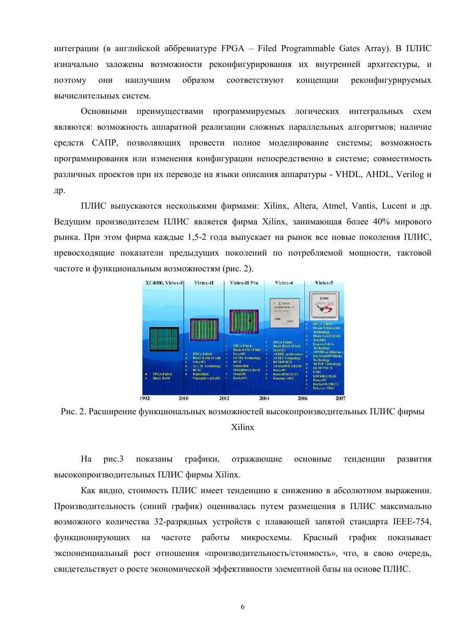интеграции (в английской аббревиатуре FPGA - Filed Programmable Gates Array). В ПЛИС изначально заложены возможности реконфигурирования их внутренней архитектуры, и поэтому ОНИ наилучшим образом соответствуют концепции реконфигурируемых вычислительных систем.

Основными преимуществами программируемых логических интегральных  $cxem$ являются: возможность аппаратной реализации сложных параллельных алгоритмов; наличие средств САПР, позволяющих провести полное моделирование системы; возможность программирования или изменения конфигурации непосредственно в системе; совместимость различных проектов при их переводе на языки описания аппаратуры - VHDL, AHDL, Verilog и др.

ПЛИС выпускаются несколькими фирмами: Xilinx, Altera, Atmel, Vantis, Lucent и др. Ведущим производителем ПЛИС является фирма Xilinx, занимающая более 40% мирового рынка. При этом фирма каждые 1.5-2 года выпускает на рынок все новые поколения ПЛИС. превосходящие показатели предыдущих поколений по потребляемой мощности, тактовой частоте и функциональным возможностям (рис. 2).



Рис. 2. Расширение функциональных возможностей высокопроизводительных ПЛИС фирмы Xilinx

 $Ha$  $nmc<sub>3</sub>$ показаны графики. отражающие основные тенденции развития высокопроизводительных ПЛИС фирмы Xilinx.

Как видно, стоимость ПЛИС имеет тенденцию к снижению в абсолютном выражении. Производительность (синий график) оценивалась путем размещения в ПЛИС максимально возможного количества 32-разрядных устройств с плавающей запятой стандарта IEEE-754, работы функционирующих на частоте микросхемы. Красный график показывает экспоненциальный рост отношения «производительность/стоимость», что, в свою очередь, свидетельствует о росте экономической эффективности элементной базы на основе ПЛИС.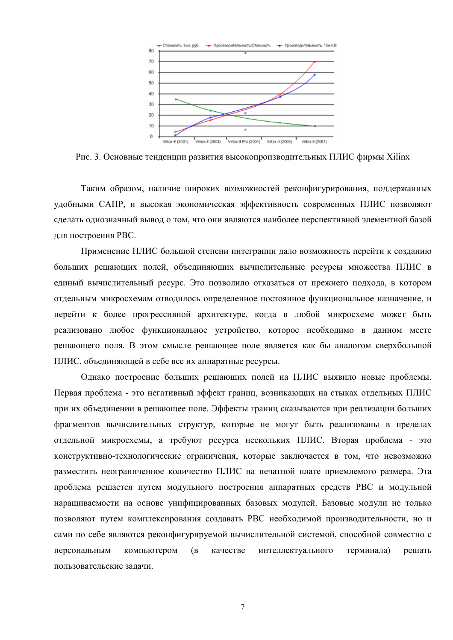

Рис. 3. Основные тенленции развития высокопроизволительных ПЛИС фирмы Xilinx

Таким образом, наличие широких возможностей реконфигурирования, поддержанных удобными САПР, и высокая экономическая эффективность современных ПЛИС позволяют сделать однозначный вывод о том, что они являются наиболее перспективной элементной базой для построения РВС.

Применение ПЛИС большой степени интеграции дало возможность перейти к созданию больших решающих полей, объединяющих вычислительные ресурсы множества ПЛИС в единый вычислительный ресурс. Это позволило отказаться от прежнего подхода, в котором отдельным микросхемам отводилось определенное постоянное функциональное назначение, и перейти к более прогрессивной архитектуре, когда в любой микросхеме может быть реализовано любое функциональное устройство, которое необходимо в данном месте решающего поля. В этом смысле решающее поле является как бы аналогом сверхбольшой ПЛИС, объединяющей в себе все их аппаратные ресурсы.

Однако построение больших решающих полей на ПЛИС выявило новые проблемы. Первая проблема - это негативный эффект границ, возникающих на стыках отдельных ПЛИС при их объединении в решающее поле. Эффекты границ сказываются при реализации больших фрагментов вычислительных структур, которые не могут быть реализованы в пределах отдельной микросхемы, а требуют ресурса нескольких ПЛИС. Вторая проблема - это конструктивно-технологические ограничения, которые заключается в том, что невозможно разместить неограниченное количество ПЛИС на печатной плате приемлемого размера. Эта проблема решается путем модульного построения аппаратных средств РВС и модульной наращиваемости на основе унифицированных базовых модулей. Базовые модули не только позволяют путем комплексирования создавать РВС необходимой производительности, но и сами по себе являются реконфигурируемой вычислительной системой, способной совместно с персональным компьютером интеллектуального  $(B)$ качестве терминала) решать пользовательские залачи.

 $\overline{7}$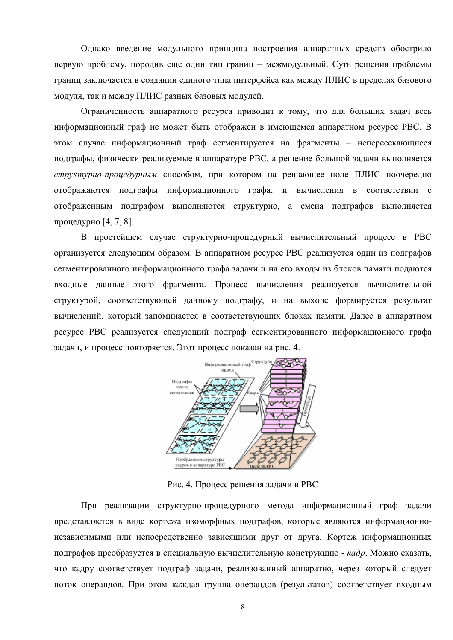Однако введение модульного принципа построения аппаратных средств обострило первую проблему, породив еще один тип границ - межмодульный. Суть решения проблемы границ заключается в создании единого типа интерфейса как между ПЛИС в пределах базового модуля, так и между ПЛИС разных базовых модулей.

Ограниченность аппаратного ресурса приводит к тому, что для больших задач весь информационный граф не может быть отображен в имеющемся аппаратном ресурсе РВС. В этом случае информационный граф сегментируется на фрагменты - непересекающиеся подграфы, физически реализуемые в аппаратуре РВС, а решение большой задачи выполняется структурно-процедурным способом, при котором на решающее поле ПЛИС поочередно отображаются подграфы информационного графа, и вычисления в соответствии с отображенным подграфом выполняются структурно, а смена подграфов выполняется процедурно [4, 7, 8].

В простейшем случае структурно-процедурный вычислительный процесс в РВС организуется следующим образом. В аппаратном ресурсе РВС реализуется один из подграфов сегментированного информационного графа задачи и на его входы из блоков памяти подаются входные данные этого фрагмента. Процесс вычисления реализуется вычислительной структурой, соответствующей данному подграфу, и на выходе формируется результат вычислений, который запоминается в соответствующих блоках памяти. Далее в аппаратном ресурсе РВС реализуется следующий подграф сегментированного информационного графа задачи, и процесс повторяется. Этот процесс показан на рис. 4.



Рис. 4. Процесс решения залачи в РВС

При реализации структурно-процедурного метода информационный граф задачи представляется в виде кортежа изоморфных подграфов, которые являются информационнонезависимыми или непосредственно зависящими друг от друга. Кортеж информационных подграфов преобразуется в специальную вычислительную конструкцию - кадр. Можно сказать, что кадру соответствует подграф задачи, реализованный аппаратно, через который следует поток операндов. При этом каждая группа операндов (результатов) соответствует входным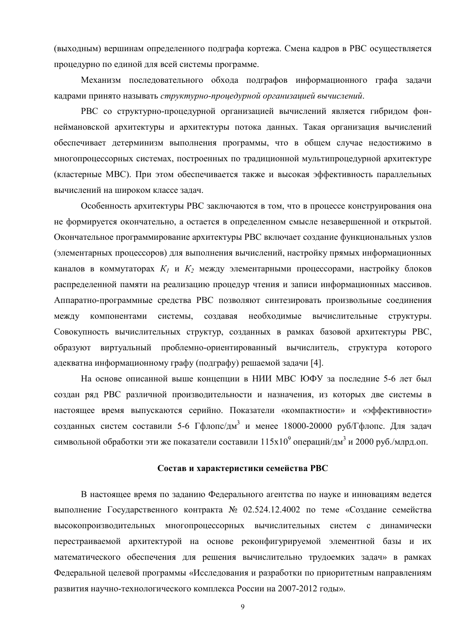(выходным) вершинам определенного подграфа кортежа. Смена кадров в РВС осуществляется процедурно по единой для всей системы программе.

Механизм последовательного обхода подграфов информационного графа задачи кадрами принято называть структурно-процедурной организацией вычислений.

РВС со структурно-процедурной организацией вычислений является гибридом фоннеймановской архитектуры и архитектуры потока данных. Такая организация вычислений обеспечивает детерминизм выполнения программы, что в общем случае недостижимо в многопроцессорных системах, построенных по традиционной мультипроцедурной архитектуре (кластерные МВС). При этом обеспечивается также и высокая эффективность параллельных вычислений на широком классе задач.

Особенность архитектуры РВС заключаются в том, что в процессе конструирования она не формируется окончательно, а остается в определенном смысле незавершенной и открытой. Окончательное программирование архитектуры РВС включает создание функциональных узлов (элементарных процессоров) для выполнения вычислений, настройку прямых информационных каналов в коммутаторах  $K_1$  и  $K_2$  между элементарными процессорами, настройку блоков распределенной памяти на реализацию процедур чтения и записи информационных массивов. Аппаратно-программные средства РВС позволяют синтезировать произвольные соединения между компонентами системы. создавая необходимые вычислительные структуры. Совокупность вычислительных структур, созданных в рамках базовой архитектуры РВС, образуют виртуальный проблемно-ориентированный вычислитель, структура которого адекватна информационному графу (подграфу) решаемой задачи [4].

На основе описанной выше концепции в НИИ МВС ЮФУ за последние 5-6 лет был создан ряд РВС различной производительности и назначения, из которых две системы в настоящее время выпускаются серийно. Показатели «компактности» и «эффективности» созданных систем составили 5-6  $\Gamma \phi$ лопс/дм<sup>3</sup> и менее 18000-20000 руб/ $\Gamma \phi$ лопс. Для задач символьной обработки эти же показатели составили  $115x10^9$  операций/дм<sup>3</sup> и 2000 руб./млрд.оп.

## Состав и характеристики семейства РВС

В настоящее время по заданию Федерального агентства по науке и инновациям ведется выполнение Государственного контракта № 02.524.12.4002 по теме «Создание семейства высокопроизводительных многопроцессорных вычислительных систем с динамически перестраиваемой архитектурой на основе реконфигурируемой элементной базы и их математического обеспечения для решения вычислительно трудоемких задач» в рамках Федеральной целевой программы «Исследования и разработки по приоритетным направлениям развития научно-технологического комплекса России на 2007-2012 годы».

 $\mathbf{Q}$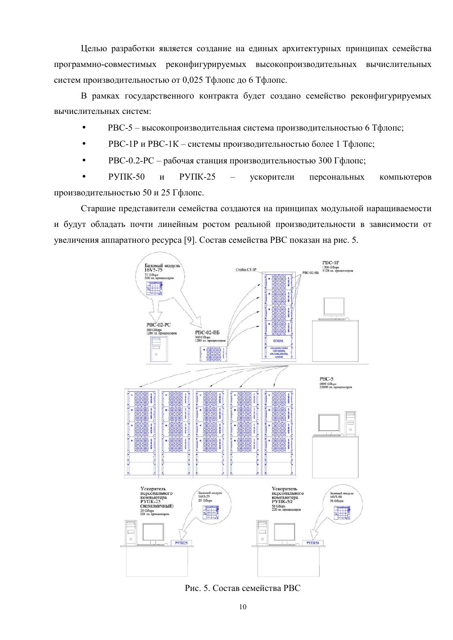Целью разработки является создание на единых архитектурных принципах семейства программно-совместимых реконфигурируемых высокопроизводительных вычислительных систем производительностью от 0,025 Тфлопс до 6 Тфлопс.

В рамках государственного контракта будет создано семейство реконфигурируемых вычислительных систем:

- РВС-5 высокопроизводительная система производительностью 6 Тфлопс;
- РВС-1Р и РВС-1К системы производительностью более 1 Тфлопс;
- РВС-0.2-РС рабочая станция производительностью 300 Гфлопс;

 $PYIIK-50$  $\overline{M}$  $PYIIK-25$ ускорители персональных компьютеров производительностью 50 и 25 Гфлопс.

Старшие представители семейства создаются на принципах модульной наращиваемости и будут обладать почти линейным ростом реальной производительности в зависимости от увеличения аппаратного ресурса [9]. Состав семейства РВС показан на рис. 5.



Рис. 5. Состав семейства РВС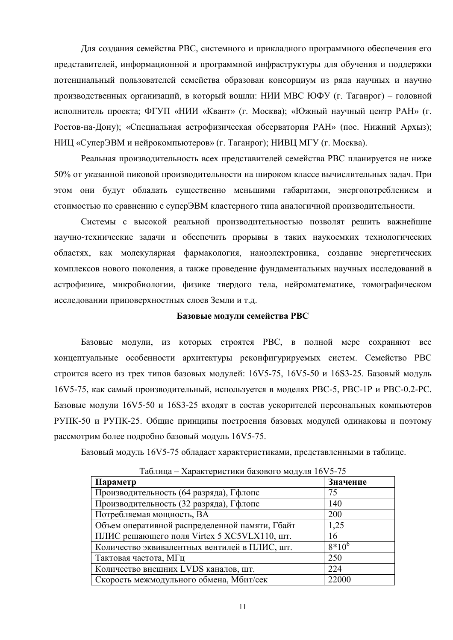Для создания семейства РВС, системного и прикладного программного обеспечения его представителей, информационной и программной инфраструктуры для обучения и поддержки потенциальный пользователей семейства образован консорциум из ряла научных и научно производственных организаций, в который вошли: НИИ МВС ЮФУ (г. Таганрог) - головной исполнитель проекта; ФГУП «НИИ «Квант» (г. Москва); «Южный научный центр РАН» (г. Ростов-на-Дону); «Специальная астрофизическая обсерватория РАН» (пос. Нижний Архыз); НИЦ «СуперЭВМ и нейрокомпьютеров» (г. Таганрог); НИВЦ МГУ (г. Москва).

Реальная производительность всех представителей семейства РВС планируется не ниже 50% от указанной пиковой производительности на широком классе вычислительных задач. При этом они будут обладать существенно меньшими габаритами, энергопотреблением и стоимостью по сравнению с суперЭВМ кластерного типа аналогичной производительности.

Системы с высокой реальной производительностью позволят решить важнейшие научно-технические задачи и обеспечить прорывы в таких наукоемких технологических областях, как молекулярная фармакология, наноэлектроника, создание энергетических комплексов нового поколения, а также проведение фундаментальных научных исследований в астрофизике, микробиологии, физике твердого тела, нейроматематике, томографическом исследовании приповерхностных слоев Земли и т.д.

#### Базовые модули семейства РВС

Базовые модули, из которых строятся РВС, в полной мере сохраняют все концептуальные особенности архитектуры реконфигурируемых систем. Семейство РВС строится всего из трех типов базовых модулей: 16V5-75, 16V5-50 и 16S3-25. Базовый модуль 16V5-75, как самый производительный, используется в моделях РВС-5, РВС-1Р и РВС-0.2-РС. Базовые модули 16V5-50 и 16S3-25 входят в состав ускорителей персональных компьютеров РУПК-50 и РУПК-25. Общие принципы построения базовых модулей одинаковы и поэтому рассмотрим более подробно базовый модуль 16V5-75.

Базовый модуль 16V5-75 обладает характеристиками, представленными в таблице.

| $1$ absiming $2$ rapart representing basebor $\sigma$ mog $\mu$ and $1 \sigma + \sigma$ |          |
|-----------------------------------------------------------------------------------------|----------|
| Параметр                                                                                | Значение |
| Производительность (64 разряда), Гфлопс                                                 | 75       |
| Производительность (32 разряда), Гфлопс                                                 | 140      |
| Потребляемая мощность, ВА                                                               | 200      |
| Объем оперативной распределенной памяти, Гбайт                                          | 1,25     |
| ПЛИС решающего поля Virtex 5 XC5VLX110, шт.                                             | 16       |
| Количество эквивалентных вентилей в ПЛИС, шт.                                           | $8*10^6$ |
| Тактовая частота, МГц                                                                   | 250      |
| Количество внешних LVDS каналов, шт.                                                    | 224      |
| Скорость межмодульного обмена, Мбит/сек                                                 | 22000    |

Таблина – Характеристики базового молуля 16V5-75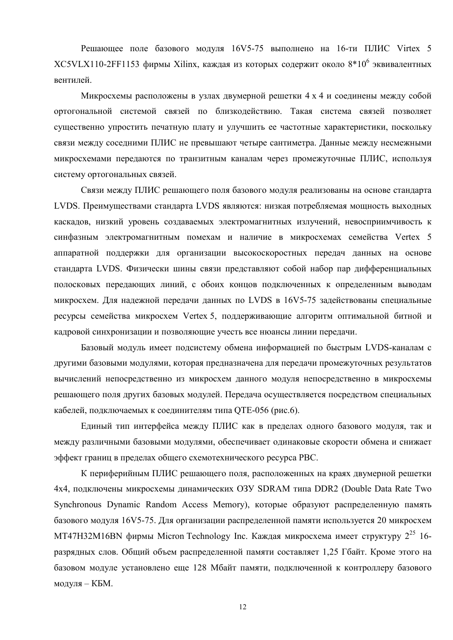Решающее поле базового модуля 16V5-75 выполнено на 16-ти ПЛИС Virtex 5 XC5VLX110-2FF1153 фирмы Xilinx, каждая из которых содержит около  $8*10^6$  эквивалентных вентилей.

Микросхемы расположены в узлах двумерной решетки 4 х 4 и соединены между собой ортогональной системой связей по близкодействию. Такая система связей позволяет существенно упростить печатную плату и улучшить ее частотные характеристики, поскольку связи между соседними ПЛИС не превышают четыре сантиметра. Данные между несмежными микросхемами передаются по транзитным каналам через промежуточные ПЛИС, используя систему ортогональных связей.

Связи между ПЛИС решающего поля базового модуля реализованы на основе стандарта LVDS. Преимуществами стандарта LVDS являются: низкая потребляемая мощность выходных каскадов, низкий уровень создаваемых электромагнитных излучений, невосприимчивость к синфазным электромагнитным помехам и наличие в микросхемах семейства Vertex 5 аппаратной поддержки для организации высокоскоростных передач данных на основе стандарта LVDS. Физически шины связи представляют собой набор пар дифференциальных полосковых передающих линий, с обоих концов подключенных к определенным выводам микросхем. Для надежной передачи данных по LVDS в 16V5-75 задействованы специальные ресурсы семейства микросхем Vertex 5, поддерживающие алгоритм оптимальной битной и кадровой синхронизации и позволяющие учесть все нюансы линии передачи.

Базовый модуль имеет подсистему обмена информацией по быстрым LVDS-каналам с другими базовыми модулями, которая предназначена для передачи промежуточных результатов вычислений непосредственно из микросхем данного модуля непосредственно в микросхемы решающего поля других базовых модулей. Передача осуществляется посредством специальных кабелей, подключаемых к соединителям типа ОТЕ-056 (рис.6).

Единый тип интерфейса между ПЛИС как в пределах одного базового модуля, так и между различными базовыми модулями, обеспечивает одинаковые скорости обмена и снижает эффект границ в пределах общего схемотехнического ресурса РВС.

К периферийным ПЛИС решающего поля, расположенных на краях двумерной решетки 4х4, подключены микросхемы динамических O3У SDRAM типа DDR2 (Double Data Rate Two Synchronous Dynamic Random Access Memory), которые образуют распределенную память базового молуля 16V5-75. Лля организации распределенной памяти используется 20 микросхем МТ47Н32М16ВN фирмы Micron Technology Inc. Каждая микросхема имеет структуру 2<sup>25</sup> 16разрядных слов. Общий объем распределенной памяти составляет 1,25 Гбайт. Кроме этого на базовом модуле установлено еще 128 Мбайт памяти, подключенной к контроллеру базового модуля - КБМ.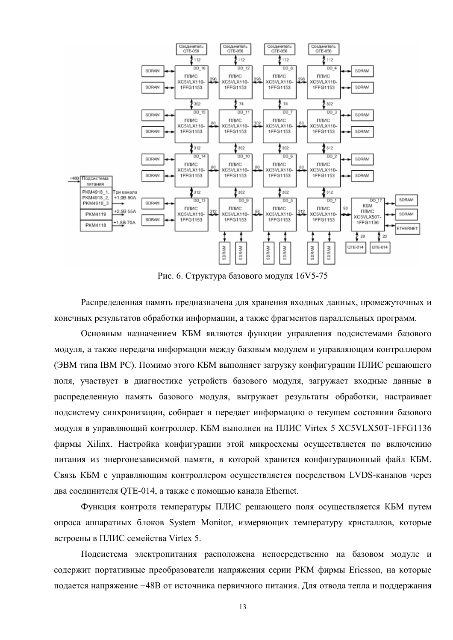

Рис. 6. Структура базового модуля 16V5-75

Распределенная память предназначена для хранения входных данных, промежуточных и конечных результатов обработки информации, а также фрагментов параллельных программ.

Основным назначением КБМ являются функции управления подсистемами базового модуля, а также передача информации между базовым модулем и управляющим контроллером (ЭВМ типа IBM PC). Помимо этого КБМ выполняет загрузку конфигурации ПЛИС решающего поля, участвует в диагностике устройств базового модуля, загружает входные данные в распределенную память базового модуля, выгружает результаты обработки, настраивает подсистему синхронизации, собирает и передает информацию о текущем состоянии базового модуля в управляющий контроллер. КБМ выполнен на ПЛИС Virtex 5 XC5VLX50T-1FFG1136 фирмы Xilinx. Настройка конфигурации этой микросхемы осуществляется по включению питания из энергонезависимой памяти, в которой хранится конфигурационный файл КБМ. Связь КБМ с управляющим контроллером осуществляется посредством LVDS-каналов через два соединителя ОТЕ-014, а также с помощью канала Ethernet.

Функция контроля температуры ПЛИС решающего поля осуществляется КБМ путем опроса аппаратных блоков System Monitor, измеряющих температуру кристаллов, которые встроены в ПЛИС семейства Virtex 5.

Подсистема электропитания расположена непосредственно на базовом модуле и содержит портативные преобразователи напряжения серии РКМ фирмы Ericsson, на которые подается напряжение +48В от источника первичного питания. Для отвода тепла и поддержания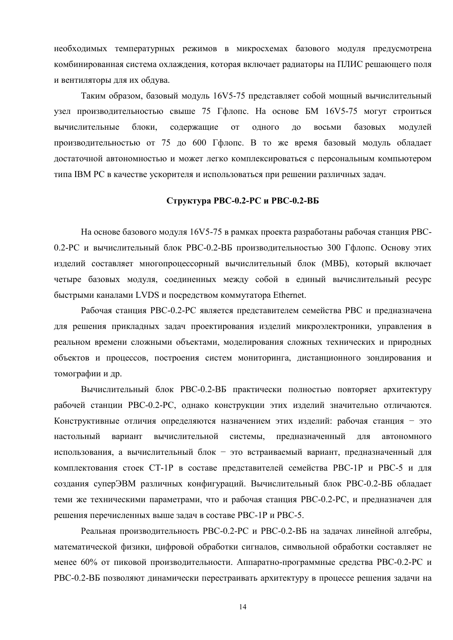необходимых температурных режимов в микросхемах базового модуля предусмотрена комбинированная система охлаждения, которая включает радиаторы на ПЛИС решающего поля и вентиляторы для их обдува.

Таким образом, базовый модуль 16V5-75 представляет собой мощный вычислительный узел производительностью свыше 75 Гфлопс. На основе БМ 16V5-75 могут строиться вычислительные блоки, содержащие одного восьми базовых **OT** ДО модулей производительностью от 75 до 600 Гфлопс. В то же время базовый модуль обладает достаточной автономностью и может легко комплексироваться с персональным компьютером типа IBM PC в качестве ускорителя и использоваться при решении различных задач.

#### Структура РВС-0.2-РС и РВС-0.2-ВБ

На основе базового модуля 16V5-75 в рамках проекта разработаны рабочая станция PBC-0.2-РС и вычислительный блок РВС-0.2-ВБ производительностью 300 Гфлопс. Основу этих изделий составляет многопроцессорный вычислительный блок (МВБ), который включает четыре базовых модуля, соединенных между собой в единый вычислительный ресурс быстрыми каналами LVDS и посредством коммутатора Ethernet.

Рабочая станция РВС-0.2-РС является представителем семейства РВС и предназначена для решения прикладных задач проектирования изделий микроэлектроники, управления в реальном времени сложными объектами, моделирования сложных технических и природных объектов и процессов, построения систем мониторинга, дистанционного зондирования и томографии и др.

Вычислительный блок РВС-0.2-ВБ практически полностью повторяет архитектуру рабочей станции РВС-0.2-РС, однако конструкции этих изделий значительно отличаются. Конструктивные отличия определяются назначением этих изделий: рабочая станция - это вычислительной системы, предназначенный настольный вариант ДЛЯ автономного использования, а вычислительный блок - это встраиваемый вариант, предназначенный для комплектования стоек СТ-1Р в составе представителей семейства РВС-1Р и РВС-5 и для создания суперЭВМ различных конфигураций. Вычислительный блок РВС-0.2-ВБ обладает теми же техническими параметрами, что и рабочая станция РВС-0.2-РС, и предназначен для решения перечисленных выше задач в составе РВС-1Р и РВС-5.

Реальная производительность РВС-0.2-РС и РВС-0.2-ВБ на задачах линейной алгебры, математической физики, цифровой обработки сигналов, символьной обработки составляет не менее 60% от пиковой производительности. Аппаратно-программные средства РВС-0.2-РС и РВС-0.2-ВБ позволяют динамически перестраивать архитектуру в процессе решения задачи на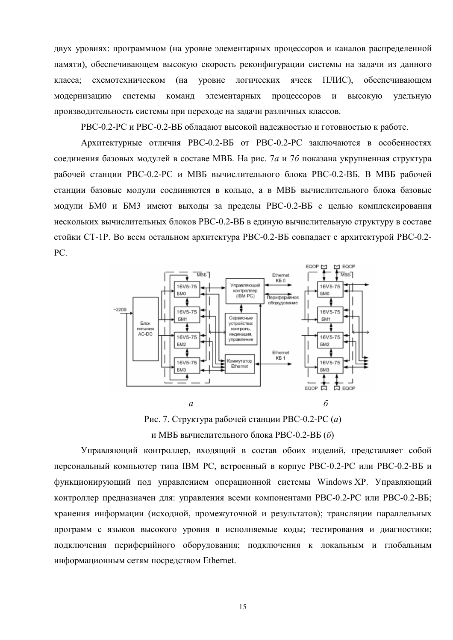двух уровнях: программном (на уровне элементарных процессоров и каналов распределенной памяти), обеспечивающем высокую скорость реконфигурации системы на задачи из данного класса: схемотехническом  $(Ha)$ **VDOBHe** логических ячеек ПЛИС). обеспечивающем команд элементарных процессоров модернизацию системы  $\boldsymbol{\mathrm{M}}$ высокую удельную производительность системы при переходе на задачи различных классов.

РВС-0.2-РС и РВС-0.2-ВБ обладают высокой надежностью и готовностью к работе.

Архитектурные отличия PBC-0.2-ВБ от PBC-0.2-PC заключаются в особенностях соединения базовых модулей в составе МВБ. На рис. Та и 76 показана укрупненная структура рабочей станции РВС-0.2-РС и МВБ вычислительного блока РВС-0.2-ВБ. В МВБ рабочей станции базовые модули соединяются в кольцо, а в МВБ вычислительного блока базовые модули БМ0 и БМ3 имеют выходы за пределы РВС-0.2-ВБ с целью комплексирования нескольких вычислительных блоков РВС-0.2-ВБ в единую вычислительную структуру в составе стойки СТ-1Р. Во всем остальном архитектура РВС-0.2-ВБ совпадает с архитектурой РВС-0.2-PC.



Рис. 7. Структура рабочей станции РВС-0.2-РС (а) и МВБ вычислительного блока РВС-0.2-ВБ (б)

Управляющий контроллер, входящий в состав обоих изделий, представляет собой персональный компьютер типа IBM PC, встроенный в корпус PBC-0.2-PC или PBC-0.2-ВБ и функционирующий под управлением операционной системы Windows XP. Управляющий контроллер предназначен для: управления всеми компонентами РВС-0.2-РС или РВС-0.2-ВБ; хранения информации (исходной, промежуточной и результатов); трансляции параллельных программ с языков высокого уровня в исполняемые коды; тестирования и диагностики; подключения периферийного оборудования; подключения к локальным и глобальным информационным сетям посредством Ethernet.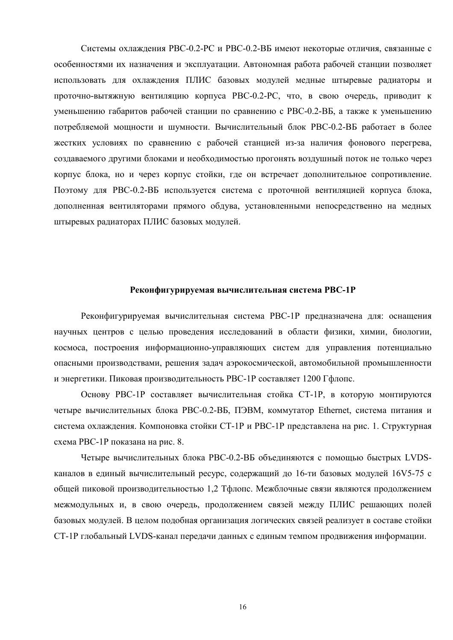Системы охлаждения РВС-0.2-РС и РВС-0.2-ВБ имеют некоторые отличия, связанные с особенностями их назначения и эксплуатации. Автономная работа рабочей станции позволяет использовать для охлаждения ПЛИС базовых модулей медные штыревые радиаторы и проточно-вытяжную вентиляцию корпуса РВС-0.2-РС, что, в свою очередь, приводит к уменьшению габаритов рабочей станции по сравнению с РВС-0.2-ВБ, а также к уменьшению потребляемой мощности и шумности. Вычислительный блок РВС-0.2-ВБ работает в более жестких условиях по сравнению с рабочей станцией из-за наличия фонового перегрева, создаваемого другими блоками и необходимостью прогонять воздушный поток не только через корпус блока, но и через корпус стойки, где он встречает дополнительное сопротивление. Поэтому для РВС-0.2-ВБ используется система с проточной вентиляцией корпуса блока, дополненная вентиляторами прямого обдува, установленными непосредственно на медных штыревых радиаторах ПЛИС базовых модулей.

## Реконфигурируемая вычислительная система РВС-1Р

Реконфигурируемая вычислительная система РВС-1Р предназначена для: оснащения научных центров с целью проведения исследований в области физики, химии, биологии, космоса, построения информационно-управляющих систем для управления потенциально опасными производствами, решения задач аэрокосмической, автомобильной промышленности и энергетики. Пиковая производительность PBC-1P составляет 1200 Гфлопс.

Основу РВС-1Р составляет вычислительная стойка СТ-1Р, в которую монтируются четыре вычислительных блока PBC-0.2-BБ, ПЭВМ, коммутатор Ethernet, система питания и система охлаждения. Компоновка стойки СТ-1Р и РВС-1Р представлена на рис. 1. Структурная схема РВС-1Р показана на рис. 8.

Четыре вычислительных блока PBC-0.2-ВБ объединяются с помощью быстрых LVDSканалов в единый вычислительный ресурс, содержащий до 16-ти базовых модулей 16V5-75 с общей пиковой производительностью 1,2 Тфлопс. Межблочные связи являются продолжением межмодульных и, в свою очередь, продолжением связей между ПЛИС решающих полей базовых молулей. В целом полобная организация логических связей реализует в составе стойки СТ-1Р глобальный LVDS-канал передачи данных с единым темпом продвижения информации.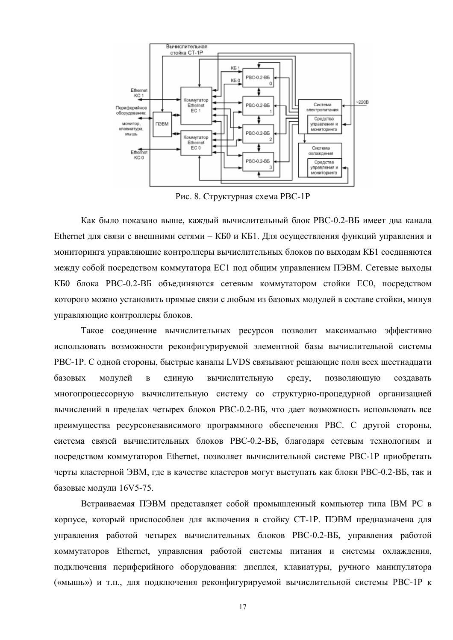

Рис. 8. Структурная схема РВС-1Р

Как было показано выше, каждый вычислительный блок РВС-0.2-ВБ имеет два канала Ethernet для связи с внешними сетями - КБ0 и КБ1. Для осуществления функций управления и мониторинга управляющие контроллеры вычислительных блоков по выходам КБ1 соединяются между собой посредством коммутатора EC1 под общим управлением ПЭВМ. Сетевые выходы КБО блока РВС-0.2-ВБ объединяются сетевым коммутатором стойки ЕСО, посредством которого можно установить прямые связи с любым из базовых модулей в составе стойки, минуя управляющие контроллеры блоков.

Такое соединение вычислительных ресурсов позволит максимально эффективно использовать возможности реконфигурируемой элементной базы вычислительной системы РВС-1Р. С одной стороны, быстрые каналы LVDS связывают решающие поля всех шестнадцати базовых вычислительную модулей  $\overline{B}$ единую среду, позволяющую создавать многопроцессорную вычислительную систему со структурно-процедурной организацией вычислений в пределах четырех блоков РВС-0.2-ВБ, что дает возможность использовать все преимущества ресурсонезависимого программного обеспечения РВС. С другой стороны, система связей вычислительных блоков РВС-0.2-ВБ, благодаря сетевым технологиям и посредством коммутаторов Ethernet. позволяет вычислительной системе PBC-1P приобретать черты кластерной ЭВМ, где в качестве кластеров могут выступать как блоки РВС-0.2-ВБ, так и базовые модули 16V5-75.

Встраиваемая ПЭВМ представляет собой промышленный компьютер типа IBM РС в корпусе, который приспособлен для включения в стойку СТ-1Р. ПЭВМ предназначена для управления работой четырех вычислительных блоков РВС-0.2-ВБ, управления работой коммутаторов Ethernet, управления работой системы питания и системы охлаждения, подключения периферийного оборудования: дисплея, клавиатуры, ручного манипулятора («мышь») и т.п., для подключения реконфигурируемой вычислительной системы PBC-1P к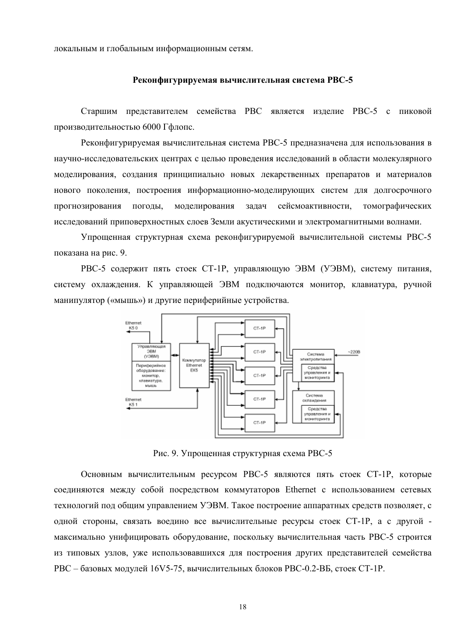локальным и глобальным информационным сетям.

#### Реконфигурируемая вычислительная система РВС-5

Старшим представителем семейства РВС является изделие РВС-5 с пиковой производительностью 6000 Гфлопс.

Реконфигурируемая вычислительная система РВС-5 предназначена для использования в научно-исследовательских центрах с целью проведения исследований в области молекулярного моделирования, создания принципиально новых лекарственных препаратов и материалов нового поколения, построения информационно-моделирующих систем для долгосрочного моделирования задач сейсмоактивности, прогнозирования погоды, томографических исследований приповерхностных слоев Земли акустическими и электромагнитными волнами.

Упрошенная структурная схема реконфигурируемой вычислительной системы РВС-5 показана на рис. 9.

РВС-5 содержит пять стоек СТ-1Р, управляющую ЭВМ (УЭВМ), систему питания, систему охлаждения. К управляющей ЭВМ подключаются монитор, клавиатура, ручной манипулятор («мышь») и другие периферийные устройства.



Рис. 9. Упрощенная структурная схема РВС-5

Основным вычислительным ресурсом РВС-5 являются пять стоек СТ-1Р, которые соединяются между собой посредством коммутаторов Ethernet с использованием сетевых технологий под общим управлением УЭВМ. Такое построение аппаратных средств позволяет, с одной стороны, связать воедино все вычислительные ресурсы стоек СТ-1Р, а с другой максимально унифицировать оборудование, поскольку вычислительная часть РВС-5 строится из типовых узлов, уже использовавшихся для построения других представителей семейства РВС - базовых модулей 16V5-75, вычислительных блоков РВС-0.2-ВБ, стоек СТ-1Р.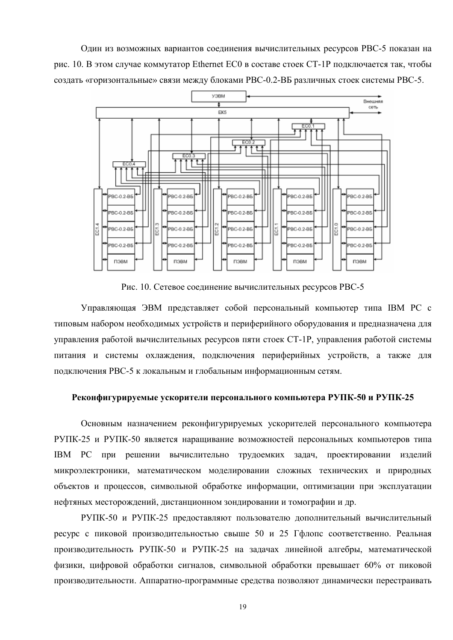Один из возможных вариантов соединения вычислительных ресурсов РВС-5 показан на рис. 10. В этом случае коммутатор Ethernet EC0 в составе стоек CT-1P подключается так, чтобы создать «горизонтальные» связи между блоками РВС-0.2-ВБ различных стоек системы РВС-5.



Рис. 10. Сетевое соединение вычислительных ресурсов РВС-5

Управляющая ЭВМ представляет собой персональный компьютер типа IBM PC с типовым набором необходимых устройств и периферийного оборудования и предназначена для управления работой вычислительных ресурсов пяти стоек CT-1P, управления работой системы питания и системы охлаждения, подключения периферийных устройств, а также для подключения РВС-5 к локальным и глобальным информационным сетям.

## Реконфигурируемые ускорители персонального компьютера РУПК-50 и РУПК-25

Основным назначением реконфигурируемых ускорителей персонального компьютера РУПК-25 и РУПК-50 является наращивание возможностей персональных компьютеров типа ІВМ РС при решении вычислительно трудоемких задач, проектировании изделий микроэлектроники, математическом моделировании сложных технических и природных объектов и процессов, символьной обработке информации, оптимизации при эксплуатации нефтяных месторождений, дистанционном зондировании и томографии и др.

РУПК-50 и РУПК-25 предоставляют пользователю дополнительный вычислительный ресурс с пиковой производительностью свыше 50 и 25 Гфлопс соответственно. Реальная производительность РУПК-50 и РУПК-25 на задачах линейной алгебры, математической физики, цифровой обработки сигналов, символьной обработки превышает 60% от пиковой производительности. Аппаратно-программные средства позволяют динамически перестраивать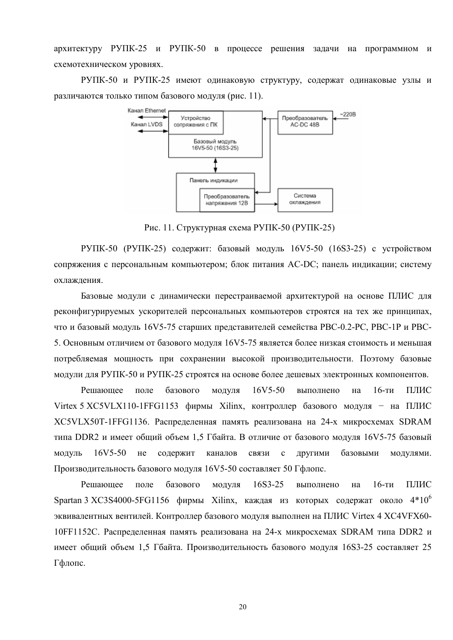архитектуру РУПК-25 и РУПК-50 в процессе решения задачи на программном и схемотехническом уровнях.

РУПК-50 и РУПК-25 имеют одинаковую структуру, содержат одинаковые узлы и различаются только типом базового модуля (рис. 11).



Рис. 11. Структурная схема РУПК-50 (РУПК-25).

РУПК-50 (РУПК-25) содержит: базовый модуль 16V5-50 (16S3-25) с устройством сопряжения с персональным компьютером; блок питания АС-DC; панель индикации; систему охлажления

Базовые модули с динамически перестраиваемой архитектурой на основе ПЛИС для реконфигурируемых ускорителей персональных компьютеров строятся на тех же принципах, что и базовый модуль 16V5-75 старших представителей семейства PBC-0.2-PC, PBC-1P и PBC-5. Основным отличием от базового модуля 16V5-75 является более низкая стоимость и меньшая потребляемая мощность при сохранении высокой производительности. Поэтому базовые модули для РУПК-50 и РУПК-25 строятся на основе более дешевых электронных компонентов.

Решающее поле базового молуля  $16V5-50$ выполнено на  $16$ -ти ПЛИС Virtex 5 XC5VLX110-1FFG1153 фирмы Xilinx, контроллер базового молуля - на ПЛИС XC5VLX50T-1FFG1136. Распределенная память реализована на 24-х микросхемах SDRAM типа DDR2 и имеет обший объем 1.5 Гбайта. В отличие от базового молуля 16V5-75 базовый модуль 16V5-50 He содержит каналов связи  $\mathbf{c}$ другими базовыми модулями. Производительность базового модуля 16V5-50 составляет 50 Гфлопс.

Решающее поле базового модуля 16S3-25 выполнено на  $16$ -ти ПЛИС Spartan 3 XC3S4000-5FG1156 фирмы Xilinx, каждая из которых содержат около  $4*10^6$ эквивалентных вентилей. Контроллер базового модуля выполнен на ПЛИС Virtex 4 XC4VFX60-10FF1152C. Распределенная память реализована на 24-х микросхемах SDRAM типа DDR2 и имеет общий объем 1,5 Гбайта. Производительность базового модуля 16S3-25 составляет 25 Гфлопс.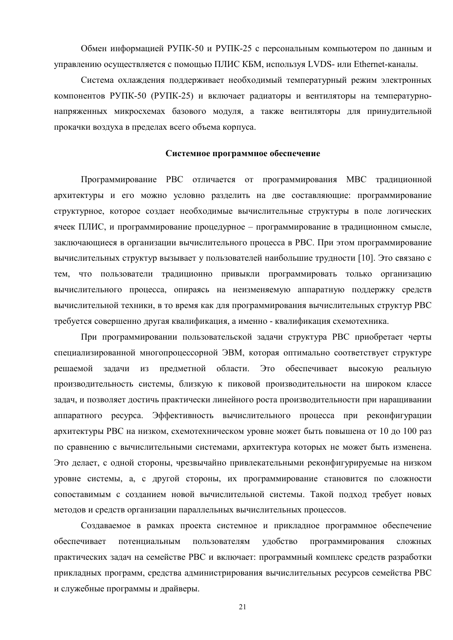Обмен информацией РУПК-50 и РУПК-25 с персональным компьютером по данным и управлению осуществляется с помощью ПЛИС КБМ, используя LVDS- или Ethernet-каналы.

Система охлаждения поддерживает необходимый температурный режим электронных компонентов РУПК-50 (РУПК-25) и включает радиаторы и вентиляторы на температурнонапряженных микросхемах базового модуля, а также вентиляторы для принудительной прокачки воздуха в пределах всего объема корпуса.

## Системное программное обеспечение

Программирование РВС отличается от программирования МВС традиционной архитектуры и его можно условно разделить на две составляющие: программирование структурное, которое создает необходимые вычислительные структуры в поле логических ячеек ПЛИС, и программирование процедурное – программирование в традиционном смысле, заключающиеся в организации вычислительного процесса в РВС. При этом программирование вычислительных структур вызывает у пользователей наибольшие трудности [10]. Это связано с тем, что пользователи традиционно привыкли программировать только организацию вычислительного процесса, опираясь на неизменяемую аппаратную поддержку средств вычислительной техники, в то время как для программирования вычислительных структур PBC требуется совершенно другая квалификация, а именно - квалификация схемотехника.

При программировании пользовательской задачи структура РВС приобретает черты специализированной многопроцессорной ЭВМ, которая оптимально соответствует структуре предметной области. Это обеспечивает решаемой задачи из высокую реальную производительность системы, близкую к пиковой производительности на широком классе задач, и позволяет достичь практически линейного роста производительности при наращивании аппаратного ресурса. Эффективность вычислительного процесса при реконфигурации архитектуры РВС на низком, схемотехническом уровне может быть повышена от 10 до 100 раз по сравнению с вычислительными системами, архитектура которых не может быть изменена. Это делает, с одной стороны, чрезвычайно привлекательными реконфигурируемые на низком уровне системы, а, с другой стороны, их программирование становится по сложности сопоставимым с созданием новой вычислительной системы. Такой подход требует новых методов и средств организации параллельных вычислительных процессов.

Создаваемое в рамках проекта системное и прикладное программное обеспечение обеспечивает удобство программирования потенциальным пользователям сложных практических задач на семействе РВС и включает: программный комплекс средств разработки прикладных программ, средства администрирования вычислительных ресурсов семейства РВС и служебные программы и драйверы.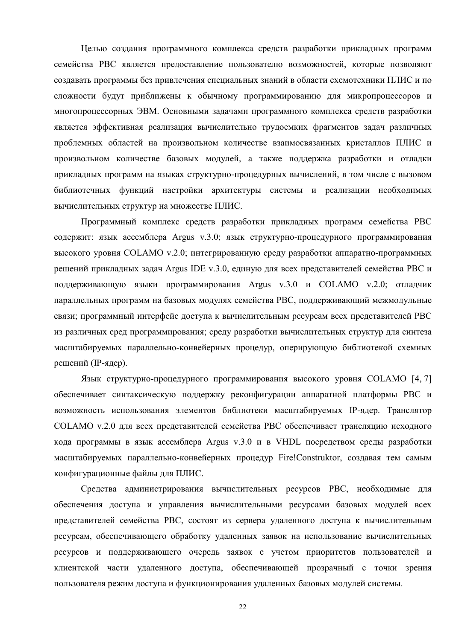Целью создания программного комплекса средств разработки прикладных программ семейства РВС является предоставление пользователю возможностей, которые позволяют создавать программы без привлечения специальных знаний в области схемотехники ПЛИС и по сложности будут приближены к обычному программированию для микропроцессоров и многопроцессорных ЭВМ. Основными задачами программного комплекса средств разработки является эффективная реализация вычислительно трудоемких фрагментов задач различных проблемных областей на произвольном количестве взаимосвязанных кристаллов ПЛИС и произвольном количестве базовых модулей, а также поддержка разработки и отладки прикладных программ на языках структурно-процедурных вычислений, в том числе с вызовом библиотечных функций настройки архитектуры системы и реализации необходимых вычислительных структур на множестве ПЛИС.

Программный комплекс средств разработки прикладных программ семейства РВС содержит: язык ассемблера Argus v.3.0; язык структурно-процедурного программирования высокого уровня COLAMO v.2.0; интегрированную среду разработки аппаратно-программных решений прикладных задач Argus IDE v.3.0, единую для всех представителей семейства РВС и поддерживающую языки программирования Argus v.3.0 и COLAMO v.2.0; отладчик параллельных программ на базовых модулях семейства РВС, поддерживающий межмодульные связи; программный интерфейс доступа к вычислительным ресурсам всех представителей РВС из различных сред программирования; среду разработки вычислительных структур для синтеза масштабируемых параллельно-конвейерных процедур, оперирующую библиотекой схемных решений (IP-ядер).

Язык структурно-процедурного программирования высокого уровня СОLAMO [4, 7] обеспечивает синтаксическую поддержку реконфигурации аппаратной платформы РВС и возможность использования элементов библиотеки масштабируемых IP-ядер. Транслятор СОLAМО v.2.0 для всех представителей семейства РВС обеспечивает трансляцию исходного кода программы в язык ассемблера Argus v.3.0 и в VHDL посредством среды разработки масштабируемых параллельно-конвейерных процедур Fire!Construktor, создавая тем самым конфигурационные файлы для ПЛИС.

Средства администрирования вычислительных ресурсов РВС, необходимые для обеспечения доступа и управления вычислительными ресурсами базовых модулей всех представителей семейства РВС, состоят из сервера удаленного доступа к вычислительным ресурсам, обеспечивающего обработку удаленных заявок на использование вычислительных ресурсов и поддерживающего очередь заявок с учетом приоритетов пользователей и клиентской части удаленного доступа, обеспечивающей прозрачный с точки зрения пользователя режим доступа и функционирования удаленных базовых модулей системы.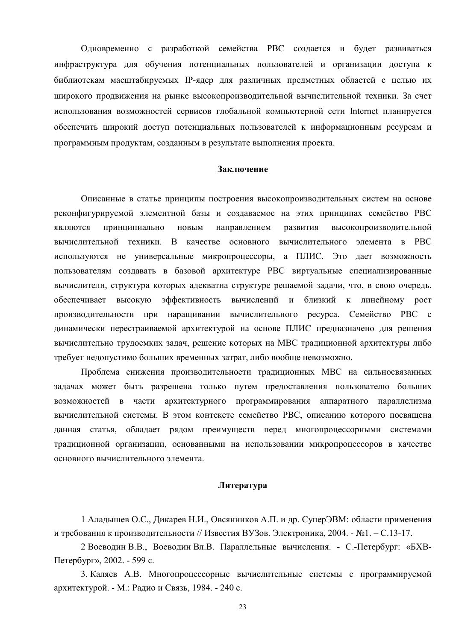Одновременно с разработкой семейства РВС создается и будет развиваться инфраструктура для обучения потенциальных пользователей и организации доступа к библиотекам масштабируемых IP-ядер для различных предметных областей с целью их широкого продвижения на рынке высокопроизводительной вычислительной техники. За счет использования возможностей сервисов глобальной компьютерной сети Internet планируется обеспечить широкий доступ потенциальных пользователей к информационным ресурсам и программным продуктам, созданным в результате выполнения проекта.

#### Заключение

Описанные в статье принципы построения высокопроизводительных систем на основе реконфигурируемой элементной базы и создаваемое на этих принципах семейство РВС развития являются принципиально новым направлением высокопроизводительной вычислительной техники. В качестве основного вычислительного элемента в РВС используются не универсальные микропроцессоры, а ПЛИС. Это дает возможность пользователям создавать в базовой архитектуре РВС виртуальные специализированные вычислители, структура которых адекватна структуре решаемой задачи, что, в свою очередь, эффективность вычислений близкий к линейному рост обеспечивает высокую  $\mathbf{M}$ производительности при наращивании вычислительного ресурса. Семейство РВС с динамически перестраиваемой архитектурой на основе ПЛИС предназначено для решения вычислительно трудоемких задач, решение которых на МВС традиционной архитектуры либо требует недопустимо больших временных затрат, либо вообще невозможно.

Проблема снижения производительности традиционных МВС на сильносвязанных задачах может быть разрешена только путем предоставления пользователю больших возможностей в части архитектурного программирования аппаратного параллелизма вычислительной системы. В этом контексте семейство РВС, описанию которого посвящена данная статья, обладает рядом преимуществ перед многопроцессорными системами традиционной организации, основанными на использовании микропроцессоров в качестве основного вычислительного элемента.

## Литература

1 Аладышев О.С., Дикарев Н.И., Овсянников А.П. и др. СуперЭВМ: области применения и требования к производительности // Известия ВУЗов. Электроника, 2004. - №1. - С.13-17.

2 Воеводин В.В., Воеводин Вл.В. Параллельные вычисления. - С.-Петербург: «БХВ-Петербург», 2002. - 599 с.

3. Каляев А.В. Многопроцессорные вычислительные системы с программируемой архитектурой. - М.: Радио и Связь, 1984. - 240 с.